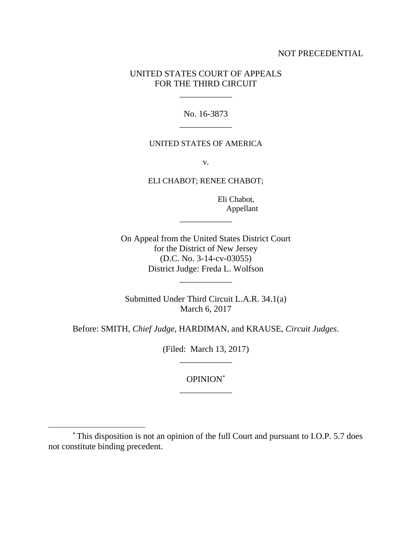## NOT PRECEDENTIAL

# UNITED STATES COURT OF APPEALS FOR THE THIRD CIRCUIT

\_\_\_\_\_\_\_\_\_\_\_\_

No. 16-3873 \_\_\_\_\_\_\_\_\_\_\_\_

#### UNITED STATES OF AMERICA

v.

ELI CHABOT; RENEE CHABOT;

 Eli Chabot, Appellant

On Appeal from the United States District Court for the District of New Jersey (D.C. No. 3-14-cv-03055) District Judge: Freda L. Wolfson

\_\_\_\_\_\_\_\_\_\_\_\_

Submitted Under Third Circuit L.A.R. 34.1(a) March 6, 2017

\_\_\_\_\_\_\_\_\_\_\_\_

Before: SMITH, *Chief Judge*, HARDIMAN, and KRAUSE, *Circuit Judges*.

(Filed: March 13, 2017) \_\_\_\_\_\_\_\_\_\_\_\_

> OPINION\* \_\_\_\_\_\_\_\_\_\_\_\_

 $\overline{a}$ 

<sup>\*</sup> This disposition is not an opinion of the full Court and pursuant to I.O.P. 5.7 does not constitute binding precedent.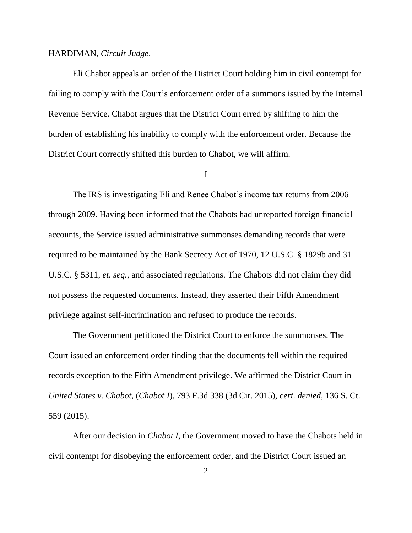### HARDIMAN, *Circuit Judge*.

Eli Chabot appeals an order of the District Court holding him in civil contempt for failing to comply with the Court's enforcement order of a summons issued by the Internal Revenue Service. Chabot argues that the District Court erred by shifting to him the burden of establishing his inability to comply with the enforcement order. Because the District Court correctly shifted this burden to Chabot, we will affirm.

I

The IRS is investigating Eli and Renee Chabot's income tax returns from 2006 through 2009. Having been informed that the Chabots had unreported foreign financial accounts, the Service issued administrative summonses demanding records that were required to be maintained by the Bank Secrecy Act of 1970, 12 U.S.C. § 1829b and 31 U.S.C. § 5311, *et. seq.*, and associated regulations. The Chabots did not claim they did not possess the requested documents. Instead, they asserted their Fifth Amendment privilege against self-incrimination and refused to produce the records.

The Government petitioned the District Court to enforce the summonses. The Court issued an enforcement order finding that the documents fell within the required records exception to the Fifth Amendment privilege. We affirmed the District Court in *United States v. Chabot*, (*Chabot I*), 793 F.3d 338 (3d Cir. 2015), *cert. denied*, 136 S. Ct. 559 (2015).

After our decision in *Chabot I*, the Government moved to have the Chabots held in civil contempt for disobeying the enforcement order, and the District Court issued an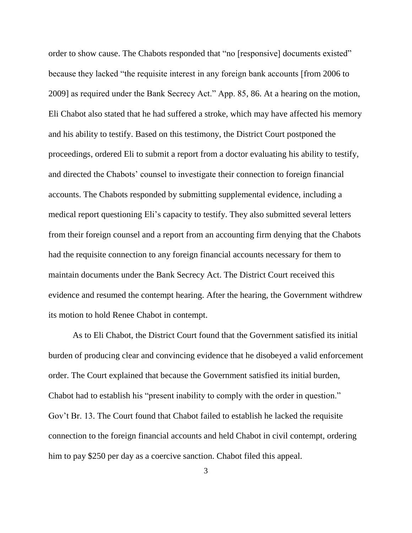order to show cause. The Chabots responded that "no [responsive] documents existed" because they lacked "the requisite interest in any foreign bank accounts [from 2006 to 2009] as required under the Bank Secrecy Act." App. 85, 86. At a hearing on the motion, Eli Chabot also stated that he had suffered a stroke, which may have affected his memory and his ability to testify. Based on this testimony, the District Court postponed the proceedings, ordered Eli to submit a report from a doctor evaluating his ability to testify, and directed the Chabots' counsel to investigate their connection to foreign financial accounts. The Chabots responded by submitting supplemental evidence, including a medical report questioning Eli's capacity to testify. They also submitted several letters from their foreign counsel and a report from an accounting firm denying that the Chabots had the requisite connection to any foreign financial accounts necessary for them to maintain documents under the Bank Secrecy Act. The District Court received this evidence and resumed the contempt hearing. After the hearing, the Government withdrew its motion to hold Renee Chabot in contempt.

As to Eli Chabot, the District Court found that the Government satisfied its initial burden of producing clear and convincing evidence that he disobeyed a valid enforcement order. The Court explained that because the Government satisfied its initial burden, Chabot had to establish his "present inability to comply with the order in question." Gov't Br. 13. The Court found that Chabot failed to establish he lacked the requisite connection to the foreign financial accounts and held Chabot in civil contempt, ordering him to pay \$250 per day as a coercive sanction. Chabot filed this appeal.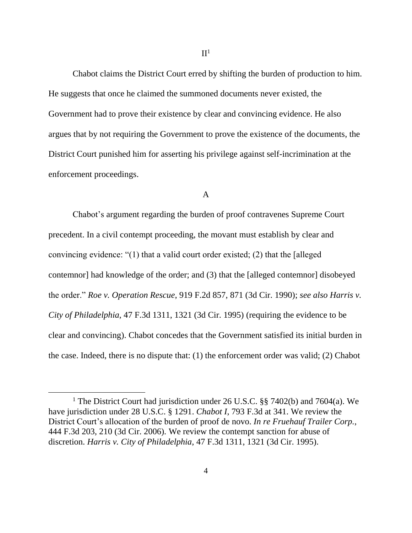Chabot claims the District Court erred by shifting the burden of production to him. He suggests that once he claimed the summoned documents never existed, the Government had to prove their existence by clear and convincing evidence. He also argues that by not requiring the Government to prove the existence of the documents, the District Court punished him for asserting his privilege against self-incrimination at the enforcement proceedings.

## A

Chabot's argument regarding the burden of proof contravenes Supreme Court precedent. In a civil contempt proceeding, the movant must establish by clear and convincing evidence: "(1) that a valid court order existed; (2) that the [alleged contemnor] had knowledge of the order; and (3) that the [alleged contemnor] disobeyed the order." *Roe v. Operation Rescue*, 919 F.2d 857, 871 (3d Cir. 1990); *see also Harris v. City of Philadelphia*, 47 F.3d 1311, 1321 (3d Cir. 1995) (requiring the evidence to be clear and convincing). Chabot concedes that the Government satisfied its initial burden in the case. Indeed, there is no dispute that: (1) the enforcement order was valid; (2) Chabot

 $\overline{a}$ 

<sup>&</sup>lt;sup>1</sup> The District Court had jurisdiction under 26 U.S.C. §§ 7402(b) and 7604(a). We have jurisdiction under 28 U.S.C. § 1291. *Chabot I*, 793 F.3d at 341. We review the District Court's allocation of the burden of proof de novo. *In re Fruehauf Trailer Corp.*, 444 F.3d 203, 210 (3d Cir. 2006). We review the contempt sanction for abuse of discretion. *Harris v. City of Philadelphia*, 47 F.3d 1311, 1321 (3d Cir. 1995).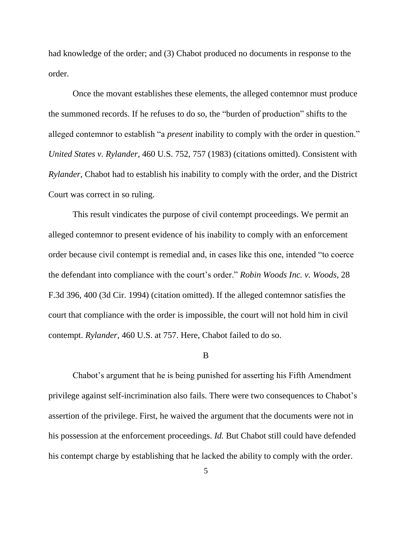had knowledge of the order; and (3) Chabot produced no documents in response to the order.

Once the movant establishes these elements, the alleged contemnor must produce the summoned records. If he refuses to do so, the "burden of production" shifts to the alleged contemnor to establish "a *present* inability to comply with the order in question." *United States v. Rylander*, 460 U.S. 752, 757 (1983) (citations omitted). Consistent with *Rylander*, Chabot had to establish his inability to comply with the order, and the District Court was correct in so ruling.

This result vindicates the purpose of civil contempt proceedings. We permit an alleged contemnor to present evidence of his inability to comply with an enforcement order because civil contempt is remedial and, in cases like this one, intended "to coerce the defendant into compliance with the court's order." *Robin Woods Inc. v. Woods*, 28 F.3d 396, 400 (3d Cir. 1994) (citation omitted). If the alleged contemnor satisfies the court that compliance with the order is impossible, the court will not hold him in civil contempt. *Rylander*, 460 U.S. at 757. Here, Chabot failed to do so.

#### B

Chabot's argument that he is being punished for asserting his Fifth Amendment privilege against self-incrimination also fails. There were two consequences to Chabot's assertion of the privilege. First, he waived the argument that the documents were not in his possession at the enforcement proceedings. *Id.* But Chabot still could have defended his contempt charge by establishing that he lacked the ability to comply with the order.